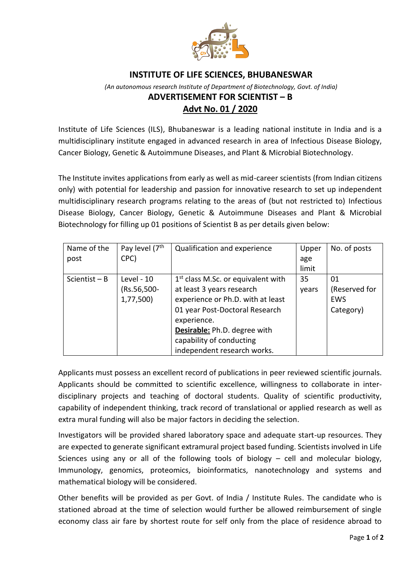

## **INSTITUTE OF LIFE SCIENCES, BHUBANESWAR**

## *(An autonomous research Institute of Department of Biotechnology, Govt. of India)* **ADVERTISEMENT FOR SCIENTIST – B Advt No. 01 / 2020**

Institute of Life Sciences (ILS), Bhubaneswar is a leading national institute in India and is a multidisciplinary institute engaged in advanced research in area of Infectious Disease Biology, Cancer Biology, Genetic & Autoimmune Diseases, and Plant & Microbial Biotechnology.

The Institute invites applications from early as well as mid-career scientists (from Indian citizens only) with potential for leadership and passion for innovative research to set up independent multidisciplinary research programs relating to the areas of (but not restricted to) Infectious Disease Biology, Cancer Biology, Genetic & Autoimmune Diseases and Plant & Microbial Biotechnology for filling up 01 positions of Scientist B as per details given below:

| Name of the     | Pay level (7 <sup>th</sup> | Qualification and experience                   | Upper | No. of posts  |
|-----------------|----------------------------|------------------------------------------------|-------|---------------|
| post            | CPC)                       |                                                | age   |               |
|                 |                            |                                                | limit |               |
| Scientist $- B$ | Level - 10                 | 1 <sup>st</sup> class M.Sc. or equivalent with | 35    | 01            |
|                 | (Rs.56,500-                | at least 3 years research                      | years | (Reserved for |
|                 | 1,77,500)                  | experience or Ph.D. with at least              |       | EWS           |
|                 |                            | 01 year Post-Doctoral Research                 |       | Category)     |
|                 |                            | experience.                                    |       |               |
|                 |                            | Desirable: Ph.D. degree with                   |       |               |
|                 |                            | capability of conducting                       |       |               |
|                 |                            | independent research works.                    |       |               |

Applicants must possess an excellent record of publications in peer reviewed scientific journals. Applicants should be committed to scientific excellence, willingness to collaborate in interdisciplinary projects and teaching of doctoral students. Quality of scientific productivity, capability of independent thinking, track record of translational or applied research as well as extra mural funding will also be major factors in deciding the selection.

Investigators will be provided shared laboratory space and adequate start-up resources. They are expected to generate significant extramural project based funding. Scientists involved in Life Sciences using any or all of the following tools of biology – cell and molecular biology, Immunology, genomics, proteomics, bioinformatics, nanotechnology and systems and mathematical biology will be considered.

Other benefits will be provided as per Govt. of India / Institute Rules. The candidate who is stationed abroad at the time of selection would further be allowed reimbursement of single economy class air fare by shortest route for self only from the place of residence abroad to